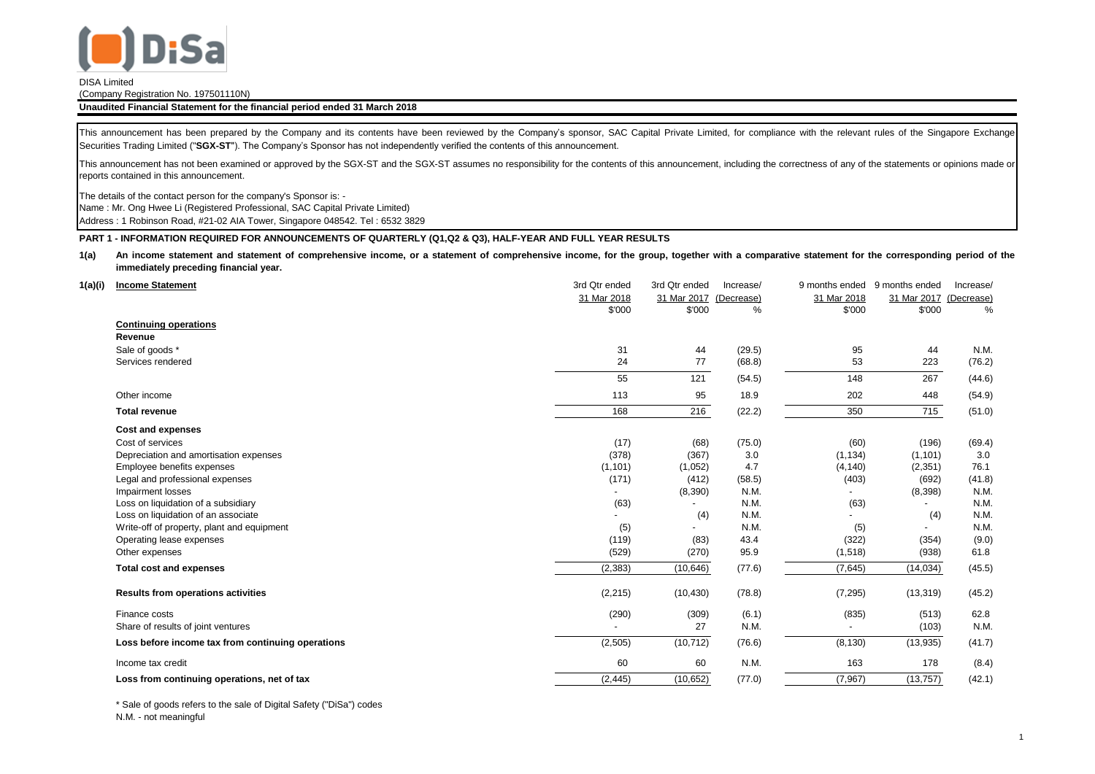

## (Company Registration No. 197501110N)

## **Unaudited Financial Statement for the financial period ended 31 March 2018**

This announcement has been prepared by the Company and its contents have been reviewed by the Company's sponsor, SAC Capital Private Limited, for compliance with the relevant rules of the Singapore Exchange Securities Trading Limited ("**SGX-ST**"). The Company's Sponsor has not independently verified the contents of this announcement.

This announcement has not been examined or approved by the SGX-ST and the SGX-ST assumes no responsibility for the contents of this announcement, including the correctness of any of the statements or opinions made or reports contained in this announcement.

The details of the contact person for the company's Sponsor is: -

Name : Mr. Ong Hwee Li (Registered Professional, SAC Capital Private Limited)

Address : 1 Robinson Road, #21-02 AIA Tower, Singapore 048542. Tel : 6532 3829

## **PART 1 - INFORMATION REQUIRED FOR ANNOUNCEMENTS OF QUARTERLY (Q1,Q2 & Q3), HALF-YEAR AND FULL YEAR RESULTS**

**1(a)** An income statement and statement of comprehensive income, or a statement of comprehensive income, for the group, together with a comparative statement for the corresponding period of the **immediately preceding financial year.**

| 1(a)(i) | <b>Income Statement</b>                           | 3rd Qtr ended | 3rd Qtr ended | Increase/  | 9 months ended | 9 months ended | Increase/  |
|---------|---------------------------------------------------|---------------|---------------|------------|----------------|----------------|------------|
|         |                                                   | 31 Mar 2018   | 31 Mar 2017   | (Decrease) | 31 Mar 2018    | 31 Mar 2017    | (Decrease) |
|         |                                                   | \$'000        | \$'000        | %          | \$'000         | \$'000         | %          |
|         | <b>Continuing operations</b>                      |               |               |            |                |                |            |
|         | Revenue                                           |               |               |            |                |                |            |
|         | Sale of goods *                                   | 31            | 44            | (29.5)     | 95             | 44             | N.M.       |
|         | Services rendered                                 | 24            | 77            | (68.8)     | 53             | 223            | (76.2)     |
|         |                                                   | 55            | 121           | (54.5)     | 148            | 267            | (44.6)     |
|         | Other income                                      | 113           | 95            | 18.9       | 202            | 448            | (54.9)     |
|         | <b>Total revenue</b>                              | 168           | 216           | (22.2)     | 350            | 715            | (51.0)     |
|         | <b>Cost and expenses</b>                          |               |               |            |                |                |            |
|         | Cost of services                                  | (17)          | (68)          | (75.0)     | (60)           | (196)          | (69.4)     |
|         | Depreciation and amortisation expenses            | (378)         | (367)         | 3.0        | (1, 134)       | (1, 101)       | 3.0        |
|         | Employee benefits expenses                        | (1, 101)      | (1,052)       | 4.7        | (4, 140)       | (2,351)        | 76.1       |
|         | Legal and professional expenses                   | (171)         | (412)         | (58.5)     | (403)          | (692)          | (41.8)     |
|         | Impairment losses                                 |               | (8,390)       | N.M.       |                | (8,398)        | N.M.       |
|         | Loss on liquidation of a subsidiary               | (63)          |               | N.M.       | (63)           |                | N.M.       |
|         | Loss on liquidation of an associate               |               | (4)           | N.M.       |                | (4)            | N.M.       |
|         | Write-off of property, plant and equipment        | (5)           |               | N.M.       | (5)            |                | N.M.       |
|         | Operating lease expenses                          | (119)         | (83)          | 43.4       | (322)          | (354)          | (9.0)      |
|         | Other expenses                                    | (529)         | (270)         | 95.9       | (1,518)        | (938)          | 61.8       |
|         | <b>Total cost and expenses</b>                    | (2, 383)      | (10, 646)     | (77.6)     | (7,645)        | (14, 034)      | (45.5)     |
|         | <b>Results from operations activities</b>         | (2, 215)      | (10, 430)     | (78.8)     | (7, 295)       | (13, 319)      | (45.2)     |
|         | Finance costs                                     | (290)         | (309)         | (6.1)      | (835)          | (513)          | 62.8       |
|         | Share of results of joint ventures                |               | 27            | N.M.       |                | (103)          | N.M.       |
|         | Loss before income tax from continuing operations | (2, 505)      | (10, 712)     | (76.6)     | (8, 130)       | (13,935)       | (41.7)     |
|         | Income tax credit                                 | 60            | 60            | N.M.       | 163            | 178            | (8.4)      |
|         | Loss from continuing operations, net of tax       | (2, 445)      | (10, 652)     | (77.0)     | (7, 967)       | (13, 757)      | (42.1)     |

\* Sale of goods refers to the sale of Digital Safety ("DiSa") codes N.M. - not meaningful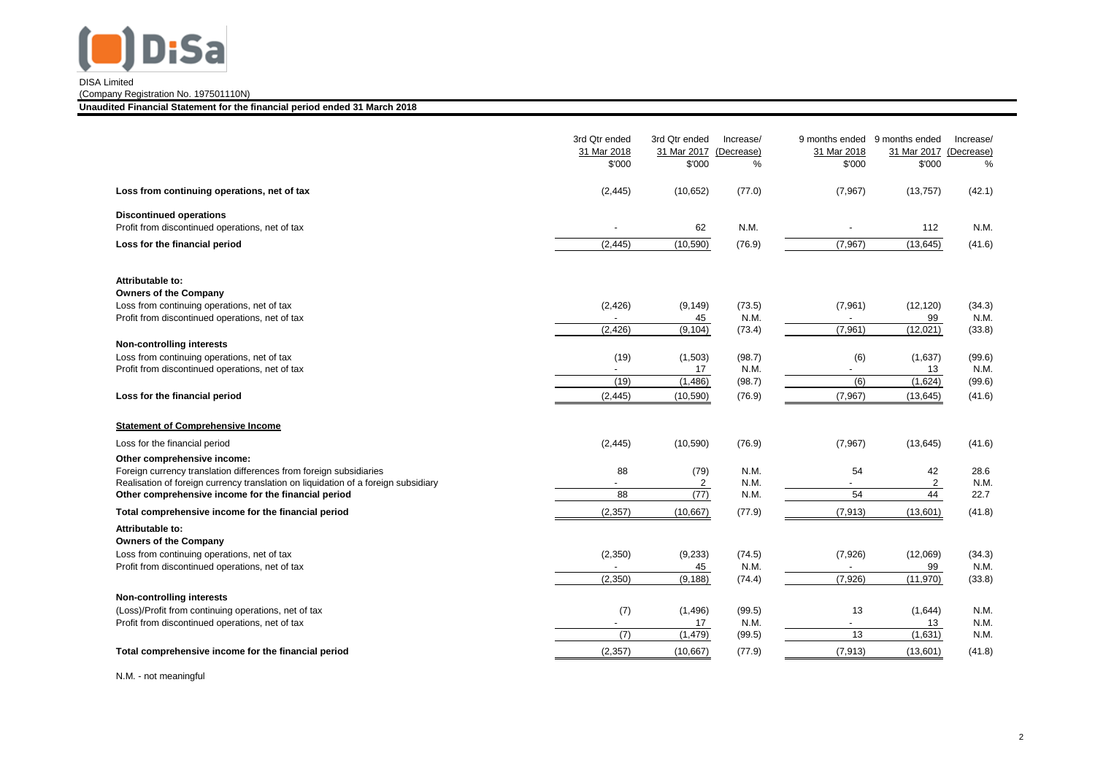

(Company Registration No. 197501110N)

**Unaudited Financial Statement for the financial period ended 31 March 2018**

| Loss from continuing operations, net of tax                                                                                                                                                                                                    | 3rd Qtr ended<br>31 Mar 2018<br>\$'000<br>(2, 445) | 3rd Qtr ended<br>31 Mar 2017<br>\$'000<br>(10, 652) | Increase/<br>(Decrease)<br>%<br>(77.0) | 9 months ended 9 months ended<br>31 Mar 2018<br>\$'000<br>(7, 967) | 31 Mar 2017 (Decrease)<br>\$'000<br>(13, 757) | Increase/<br>%<br>(42.1) |
|------------------------------------------------------------------------------------------------------------------------------------------------------------------------------------------------------------------------------------------------|----------------------------------------------------|-----------------------------------------------------|----------------------------------------|--------------------------------------------------------------------|-----------------------------------------------|--------------------------|
| <b>Discontinued operations</b><br>Profit from discontinued operations, net of tax                                                                                                                                                              |                                                    | 62                                                  | N.M.                                   |                                                                    | 112                                           | N.M.                     |
| Loss for the financial period                                                                                                                                                                                                                  | (2, 445)                                           | (10, 590)                                           | (76.9)                                 | (7, 967)                                                           | (13, 645)                                     | (41.6)                   |
| Attributable to:<br><b>Owners of the Company</b><br>Loss from continuing operations, net of tax<br>Profit from discontinued operations, net of tax                                                                                             | (2, 426)                                           | (9, 149)<br>45                                      | (73.5)<br>N.M.                         | (7,961)                                                            | (12, 120)<br>99                               | (34.3)<br>N.M.           |
|                                                                                                                                                                                                                                                | (2, 426)                                           | $\sqrt{(9,104)}$                                    | (73.4)                                 | (7,961)                                                            | (12,021)                                      | (33.8)                   |
| <b>Non-controlling interests</b><br>Loss from continuing operations, net of tax<br>Profit from discontinued operations, net of tax                                                                                                             | (19)<br>(19)                                       | (1,503)<br>17<br>(1,486)                            | (98.7)<br>N.M.<br>(98.7)               | (6)<br>(6)                                                         | (1,637)<br>13<br>(1,624)                      | (99.6)<br>N.M.<br>(99.6) |
| Loss for the financial period                                                                                                                                                                                                                  | (2, 445)                                           | (10, 590)                                           | (76.9)                                 | (7,967)                                                            | (13, 645)                                     | (41.6)                   |
| <b>Statement of Comprehensive Income</b>                                                                                                                                                                                                       |                                                    |                                                     |                                        |                                                                    |                                               |                          |
| Loss for the financial period                                                                                                                                                                                                                  | (2, 445)                                           | (10, 590)                                           | (76.9)                                 | (7, 967)                                                           | (13, 645)                                     | (41.6)                   |
| Other comprehensive income:<br>Foreign currency translation differences from foreign subsidiaries<br>Realisation of foreign currency translation on liquidation of a foreign subsidiary<br>Other comprehensive income for the financial period | 88<br>88                                           | (79)<br>2<br>(77)                                   | N.M.<br>N.M.<br>N.M.                   | 54<br>54                                                           | 42<br>2<br>44                                 | 28.6<br>N.M.<br>22.7     |
| Total comprehensive income for the financial period                                                                                                                                                                                            | (2, 357)                                           | (10,667)                                            | (77.9)                                 | (7, 913)                                                           | (13,601)                                      | (41.8)                   |
| Attributable to:<br><b>Owners of the Company</b><br>Loss from continuing operations, net of tax<br>Profit from discontinued operations, net of tax                                                                                             | (2,350)<br>(2,350)                                 | (9,233)<br>45<br>(9, 188)                           | (74.5)<br>N.M.<br>(74.4)               | (7,926)<br>(7,926)                                                 | (12,069)<br>99<br>(11, 970)                   | (34.3)<br>N.M.<br>(33.8) |
| <b>Non-controlling interests</b><br>(Loss)/Profit from continuing operations, net of tax<br>Profit from discontinued operations, net of tax                                                                                                    | (7)<br>(7)                                         | (1, 496)<br>17<br>(1, 479)                          | (99.5)<br>N.M.<br>(99.5)               | 13<br>13                                                           | (1,644)<br>13<br>(1,631)                      | N.M.<br>N.M.<br>N.M.     |
| Total comprehensive income for the financial period                                                                                                                                                                                            | (2, 357)                                           | (10, 667)                                           | (77.9)                                 | (7, 913)                                                           | (13,601)                                      | (41.8)                   |

N.M. - not meaningful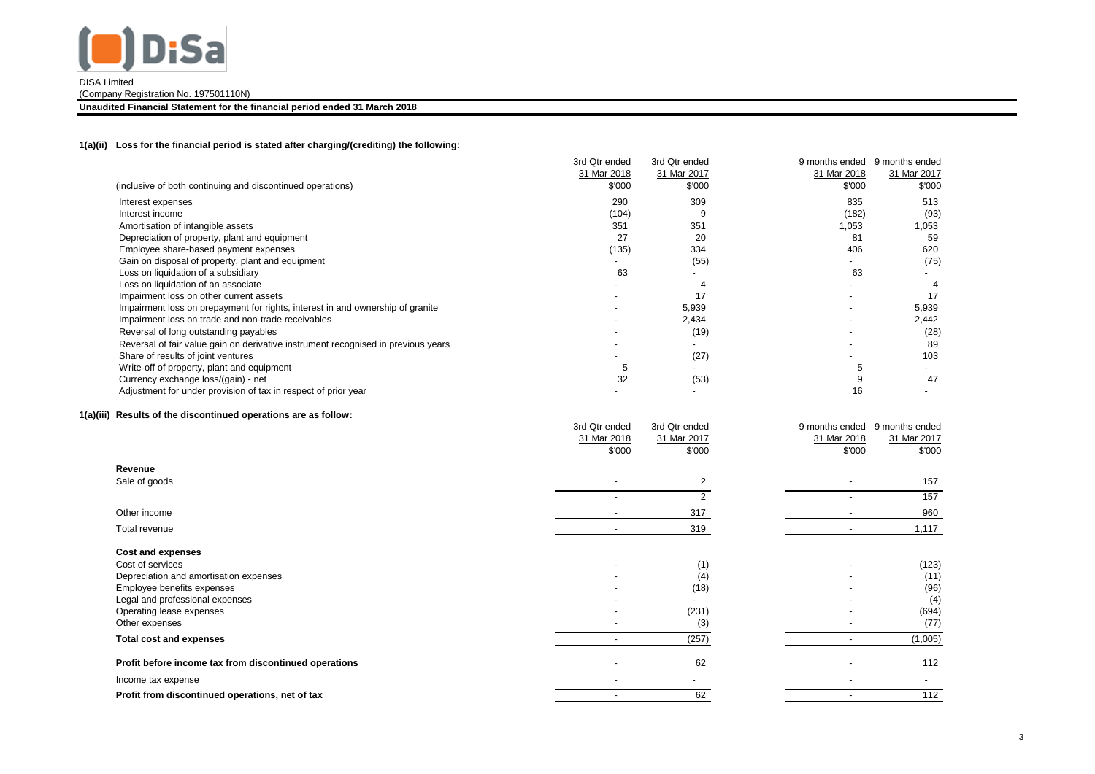

(Company Registration No. 197501110N)

**Unaudited Financial Statement for the financial period ended 31 March 2018**

## **1(a)(ii) Loss for the financial period is stated after charging/(crediting) the following:**

|                                                                                   | 3rd Qtr ended | 3rd Qtr ended | 9 months ended | 9 months ended |
|-----------------------------------------------------------------------------------|---------------|---------------|----------------|----------------|
|                                                                                   | 31 Mar 2018   | 31 Mar 2017   | 31 Mar 2018    | 31 Mar 2017    |
| (inclusive of both continuing and discontinued operations)                        | \$'000        | \$'000        | \$'000         | \$'000         |
| Interest expenses                                                                 | 290           | 309           | 835            | 513            |
| Interest income                                                                   | (104)         |               | (182)          | (93)           |
| Amortisation of intangible assets                                                 | 351           | 351           | 1,053          | 1,053          |
| Depreciation of property, plant and equipment                                     | 27            | 20            | 81             | 59             |
| Employee share-based payment expenses                                             | (135)         | 334           | 406            | 620            |
| Gain on disposal of property, plant and equipment                                 |               | (55)          |                | (75)           |
| Loss on liquidation of a subsidiary                                               | 63            |               | 63             |                |
| Loss on liquidation of an associate                                               |               |               |                |                |
| Impairment loss on other current assets                                           |               |               |                | 17             |
| Impairment loss on prepayment for rights, interest in and ownership of granite    |               | 5,939         |                | 5,939          |
| Impairment loss on trade and non-trade receivables                                |               | 2,434         |                | 2,442          |
| Reversal of long outstanding payables                                             |               | (19)          |                | (28)           |
| Reversal of fair value gain on derivative instrument recognised in previous years |               |               |                | 89             |
| Share of results of joint ventures                                                |               | (27)          |                | 103            |
| Write-off of property, plant and equipment                                        | 5             |               |                |                |
| Currency exchange loss/(gain) - net                                               | 32            | (53)          |                | 47             |
| Adjustment for under provision of tax in respect of prior year                    |               |               | 16             |                |

## **1(a)(iii) Results of the discontinued operations are as follow:**

|                                                       | 3rd Qtr ended<br>31 Mar 2018<br>\$'000 | 3rd Qtr ended<br>31 Mar 2017<br>\$'000 | 9 months ended<br>9 months ended<br>31 Mar 2018<br>31 Mar 2017<br>\$'000<br>\$'000 |
|-------------------------------------------------------|----------------------------------------|----------------------------------------|------------------------------------------------------------------------------------|
| Revenue                                               |                                        |                                        |                                                                                    |
| Sale of goods                                         | $\overline{\phantom{a}}$               | 2                                      | 157<br>$\overline{\phantom{a}}$                                                    |
|                                                       | $\overline{\phantom{0}}$               |                                        | 157                                                                                |
| Other income                                          |                                        | 317                                    | 960                                                                                |
| Total revenue                                         | $\overline{\phantom{a}}$               | 319                                    | 1,117<br>$\overline{\phantom{a}}$                                                  |
| Cost and expenses                                     |                                        |                                        |                                                                                    |
| Cost of services                                      |                                        | (1)                                    | (123)                                                                              |
| Depreciation and amortisation expenses                |                                        | (4)                                    | (11)                                                                               |
| Employee benefits expenses                            |                                        | (18)                                   | (96)                                                                               |
| Legal and professional expenses                       |                                        |                                        | (4)                                                                                |
| Operating lease expenses                              |                                        | (231)                                  | (694)                                                                              |
| Other expenses                                        |                                        | (3)                                    | (77)                                                                               |
| <b>Total cost and expenses</b>                        |                                        | (257)                                  | (1,005)                                                                            |
| Profit before income tax from discontinued operations | $\overline{\phantom{0}}$               | 62                                     | 112                                                                                |
| Income tax expense                                    | $\overline{\phantom{a}}$               |                                        | $\overline{\phantom{a}}$                                                           |
| Profit from discontinued operations, net of tax       | $\overline{\phantom{a}}$               | 62                                     | 112                                                                                |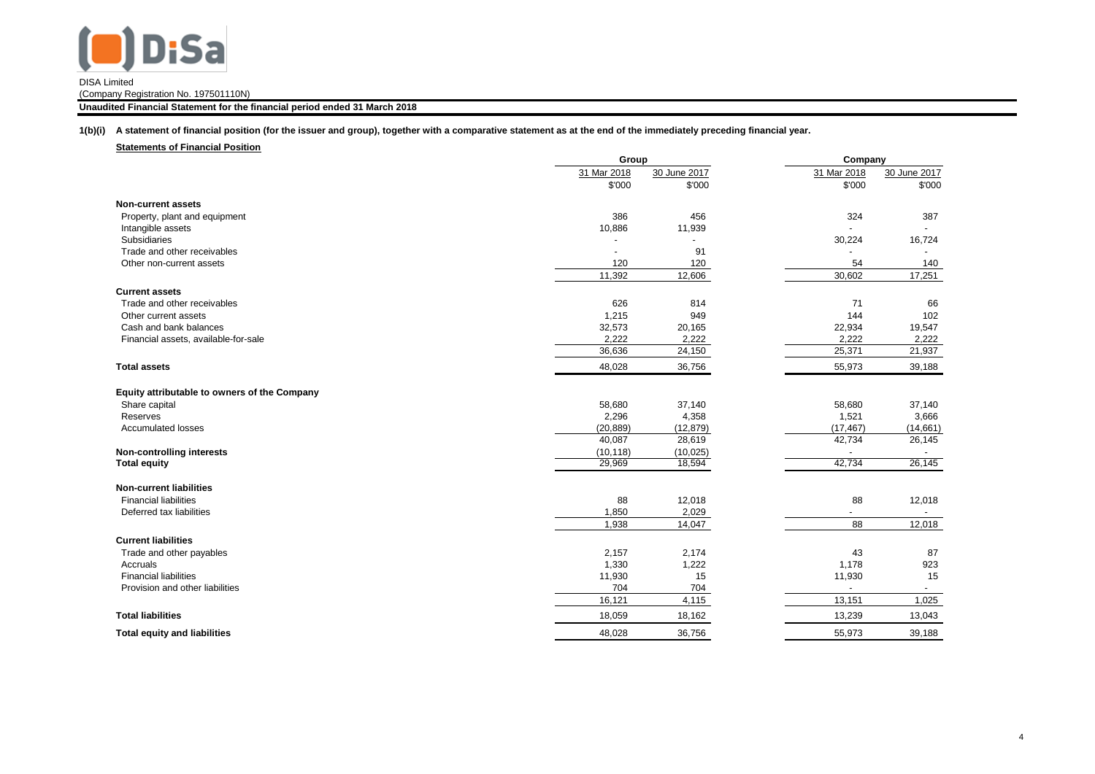

(Company Registration No. 197501110N)

**Unaudited Financial Statement for the financial period ended 31 March 2018**

**1(b)(i) A statement of financial position (for the issuer and group), together with a comparative statement as at the end of the immediately preceding financial year.**

| <b>Statements of Financial Position</b>      |             |                |                          |              |
|----------------------------------------------|-------------|----------------|--------------------------|--------------|
|                                              |             | Group          |                          | Company      |
|                                              | 31 Mar 2018 | 30 June 2017   | 31 Mar 2018              | 30 June 2017 |
|                                              | \$'000      | \$'000         | \$'000                   | \$'000       |
| <b>Non-current assets</b>                    |             |                |                          |              |
| Property, plant and equipment                | 386         | 456            | 324                      | 387          |
| Intangible assets                            | 10,886      | 11,939         |                          |              |
| Subsidiaries                                 |             | $\overline{a}$ | 30,224                   | 16,724       |
| Trade and other receivables                  |             | 91             | $\overline{a}$           |              |
| Other non-current assets                     | 120         | 120            | 54                       | 140          |
|                                              | 11,392      | 12,606         | 30,602                   | 17,251       |
| <b>Current assets</b>                        |             |                |                          |              |
| Trade and other receivables                  | 626         | 814            | 71                       | 66           |
| Other current assets                         | 1,215       | 949            | 144                      | 102          |
| Cash and bank balances                       | 32,573      | 20,165         | 22,934                   | 19,547       |
| Financial assets, available-for-sale         | 2,222       | 2,222          | 2,222                    | 2,222        |
|                                              | 36,636      | 24,150         | 25,371                   | 21,937       |
| <b>Total assets</b>                          | 48,028      | 36,756         | 55,973                   | 39,188       |
| Equity attributable to owners of the Company |             |                |                          |              |
| Share capital                                | 58,680      | 37,140         | 58,680                   | 37,140       |
| Reserves                                     | 2,296       | 4,358          | 1,521                    | 3,666        |
| <b>Accumulated losses</b>                    | (20, 889)   | (12, 879)      | (17, 467)                | (14, 661)    |
|                                              | 40,087      | 28,619         | 42,734                   | 26,145       |
| Non-controlling interests                    | (10, 118)   | (10, 025)      | $\overline{\phantom{a}}$ | $\sim$       |
| <b>Total equity</b>                          | 29,969      | 18,594         | 42,734                   | 26,145       |
|                                              |             |                |                          |              |
| <b>Non-current liabilities</b>               |             |                |                          |              |
| <b>Financial liabilities</b>                 | 88          | 12,018         | 88                       | 12,018       |
| Deferred tax liabilities                     | 1,850       | 2,029          |                          | $\sim$       |
|                                              | 1,938       | 14,047         | 88                       | 12,018       |
| <b>Current liabilities</b>                   |             |                |                          |              |
| Trade and other payables                     | 2,157       | 2,174          | 43                       | 87           |
| Accruals                                     | 1,330       | 1,222          | 1,178                    | 923          |
| <b>Financial liabilities</b>                 | 11,930      | 15             | 11,930                   | 15           |
| Provision and other liabilities              | 704         | 704            |                          |              |
|                                              | 16,121      | 4,115          | 13,151                   | 1,025        |
| <b>Total liabilities</b>                     | 18,059      | 18,162         | 13,239                   | 13,043       |
| <b>Total equity and liabilities</b>          | 48,028      | 36,756         | 55,973                   | 39,188       |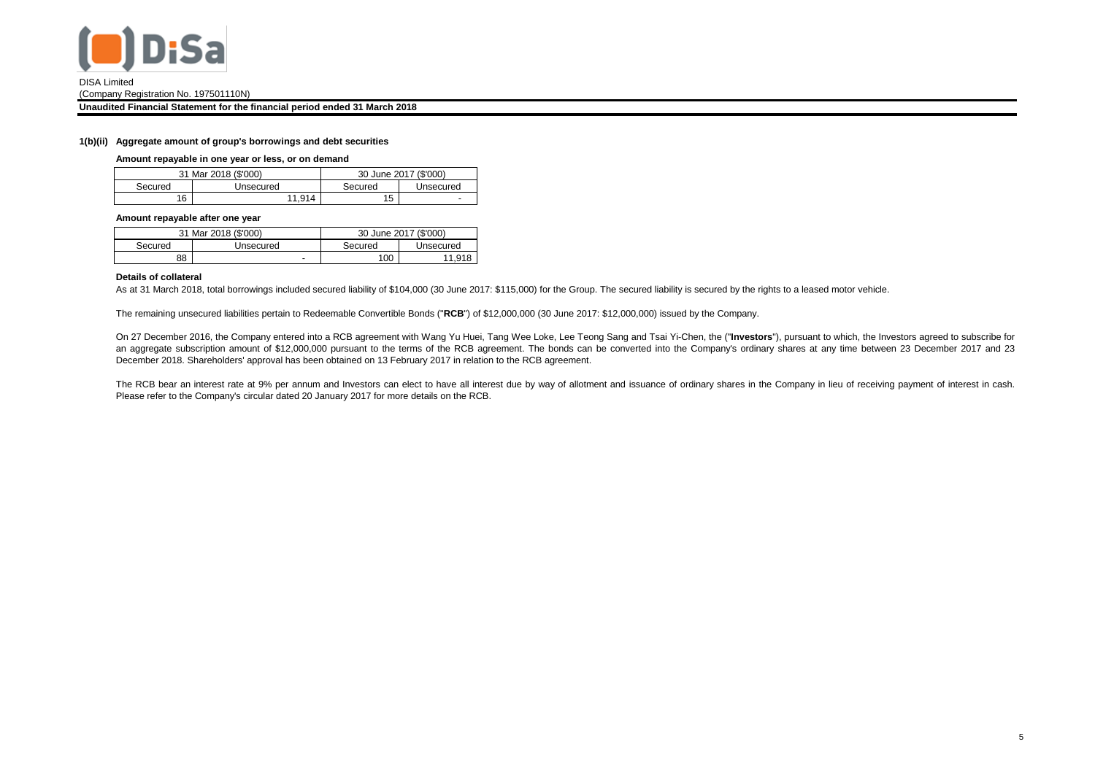

(Company Registration No. 197501110N)

**Unaudited Financial Statement for the financial period ended 31 March 2018**

#### **1(b)(ii) Aggregate amount of group's borrowings and debt securities**

**Amount repayable in one year or less, or on demand**

|         | 31 Mar 2018 (\$'000) | 30 June 2017 (\$'000) |           |  |  |
|---------|----------------------|-----------------------|-----------|--|--|
| Secured | Unsecured            | Secured               | Unsecured |  |  |
| 16      | 11.914               | 15                    | -         |  |  |

#### **Amount repayable after one year**

|         | 31 Mar 2018 (\$'000) | 30 June 2017 (\$'000) |           |  |  |
|---------|----------------------|-----------------------|-----------|--|--|
| Secured | Unsecured            | Secured               | Unsecured |  |  |
| 88      | -                    | 100                   | 11.918    |  |  |

## **Details of collateral**

As at 31 March 2018, total borrowings included secured liability of \$104,000 (30 June 2017: \$115,000) for the Group. The secured liability is secured by the rights to a leased motor vehicle.

The remaining unsecured liabilities pertain to Redeemable Convertible Bonds ("**RCB**") of \$12,000,000 (30 June 2017: \$12,000,000) issued by the Company.

On 27 December 2016, the Company entered into a RCB agreement with Wang Yu Huei, Tang Wee Loke, Lee Teong Sang and Tsai Yi-Chen, the ("**Investors**"), pursuant to which, the Investors agreed to subscribe for an aggregate subscription amount of \$12,000,000 pursuant to the terms of the RCB agreement. The bonds can be converted into the Company's ordinary shares at any time between 23 December 2017 and 23 December 2018. Shareholders' approval has been obtained on 13 February 2017 in relation to the RCB agreement.

The RCB bear an interest rate at 9% per annum and Investors can elect to have all interest due by way of allotment and issuance of ordinary shares in the Company in lieu of receiving payment of interest in cash. Please refer to the Company's circular dated 20 January 2017 for more details on the RCB.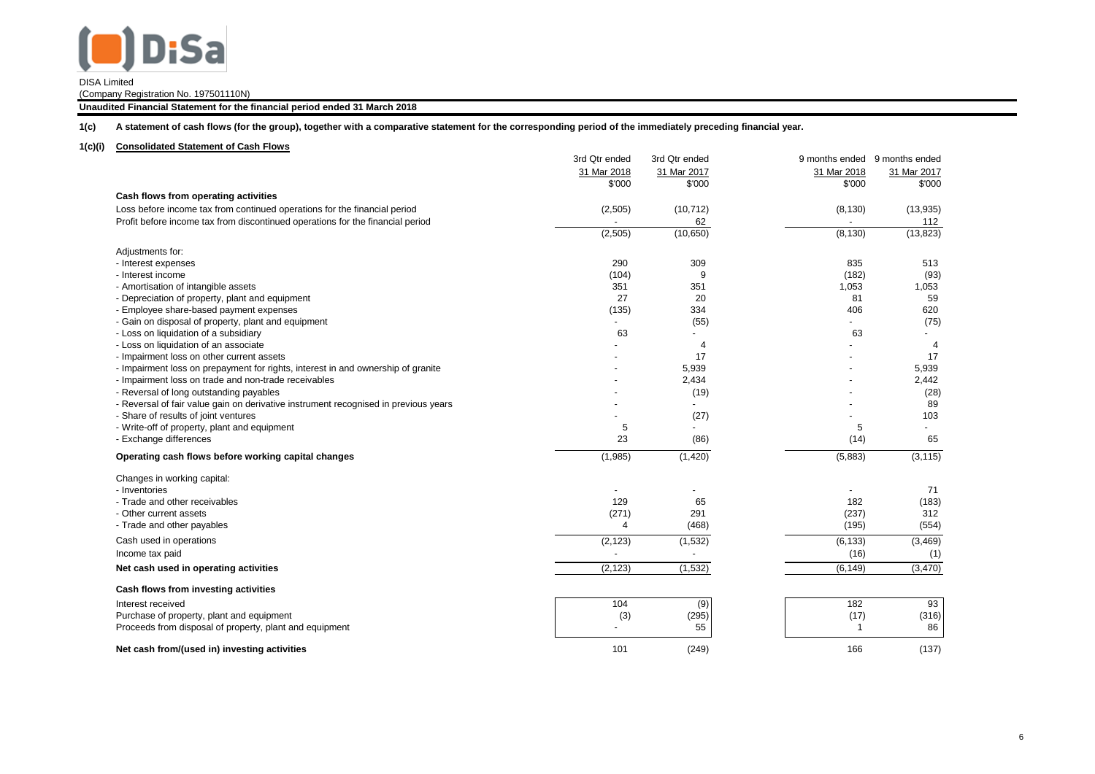

(Company Registration No. 197501110N)

**Unaudited Financial Statement for the financial period ended 31 March 2018**

**1(c) A statement of cash flows (for the group), together with a comparative statement for the corresponding period of the immediately preceding financial year.**

## **1(c)(i) Consolidated Statement of Cash Flows**

|                                                                                     | 3rd Qtr ended  | 3rd Qtr ended  |              | 9 months ended 9 months ended |
|-------------------------------------------------------------------------------------|----------------|----------------|--------------|-------------------------------|
|                                                                                     | 31 Mar 2018    | 31 Mar 2017    | 31 Mar 2018  | 31 Mar 2017                   |
|                                                                                     | \$'000         | \$'000         | \$'000       | \$'000                        |
| Cash flows from operating activities                                                |                |                |              |                               |
| Loss before income tax from continued operations for the financial period           | (2,505)        | (10, 712)      | (8, 130)     | (13, 935)                     |
| Profit before income tax from discontinued operations for the financial period      |                | 62             |              | 112                           |
|                                                                                     | (2,505)        | (10, 650)      | (8, 130)     | (13, 823)                     |
| Adjustments for:                                                                    |                |                |              |                               |
| - Interest expenses                                                                 | 290            | 309            | 835          | 513                           |
| - Interest income                                                                   | (104)          | 9              | (182)        | (93)                          |
| - Amortisation of intangible assets                                                 | 351            | 351            | 1,053        | 1,053                         |
| - Depreciation of property, plant and equipment                                     | 27             | 20             | 81           | 59                            |
| - Employee share-based payment expenses                                             | (135)          | 334            | 406          | 620                           |
| - Gain on disposal of property, plant and equipment                                 |                | (55)           |              | (75)                          |
| - Loss on liquidation of a subsidiary                                               | 63             |                | 63           |                               |
| - Loss on liquidation of an associate                                               |                | $\overline{4}$ |              | $\overline{4}$                |
| - Impairment loss on other current assets                                           |                | 17             |              | 17                            |
| - Impairment loss on prepayment for rights, interest in and ownership of granite    |                | 5,939          |              | 5,939                         |
| - Impairment loss on trade and non-trade receivables                                |                | 2,434          |              | 2,442                         |
| - Reversal of long outstanding payables                                             |                | (19)           |              | (28)                          |
| - Reversal of fair value gain on derivative instrument recognised in previous years |                |                |              | 89                            |
| - Share of results of joint ventures                                                |                | (27)           |              | 103                           |
| - Write-off of property, plant and equipment                                        | 5              |                | 5            | $\overline{\phantom{0}}$      |
| - Exchange differences                                                              | 23             | (86)           | (14)         | 65                            |
| Operating cash flows before working capital changes                                 | (1,985)        | (1,420)        | (5,883)      | (3, 115)                      |
| Changes in working capital:                                                         |                |                |              |                               |
| - Inventories                                                                       |                |                |              | 71                            |
| - Trade and other receivables                                                       | 129            | 65             | 182          | (183)                         |
| - Other current assets                                                              | (271)          | 291            | (237)        | 312                           |
| - Trade and other payables                                                          | $\overline{4}$ | (468)          | (195)        | (554)                         |
| Cash used in operations                                                             | (2, 123)       | (1, 532)       | (6, 133)     | (3, 469)                      |
| Income tax paid                                                                     |                |                | (16)         | (1)                           |
| Net cash used in operating activities                                               | (2, 123)       | (1, 532)       | (6, 149)     | (3, 470)                      |
| Cash flows from investing activities                                                |                |                |              |                               |
| Interest received                                                                   | 104            | (9)            | 182          | 93                            |
| Purchase of property, plant and equipment                                           | (3)            | (295)          | (17)         | (316)                         |
| Proceeds from disposal of property, plant and equipment                             |                | 55             | $\mathbf{1}$ | 86                            |
|                                                                                     |                |                |              |                               |
| Net cash from/(used in) investing activities                                        | 101            | (249)          | 166          | (137)                         |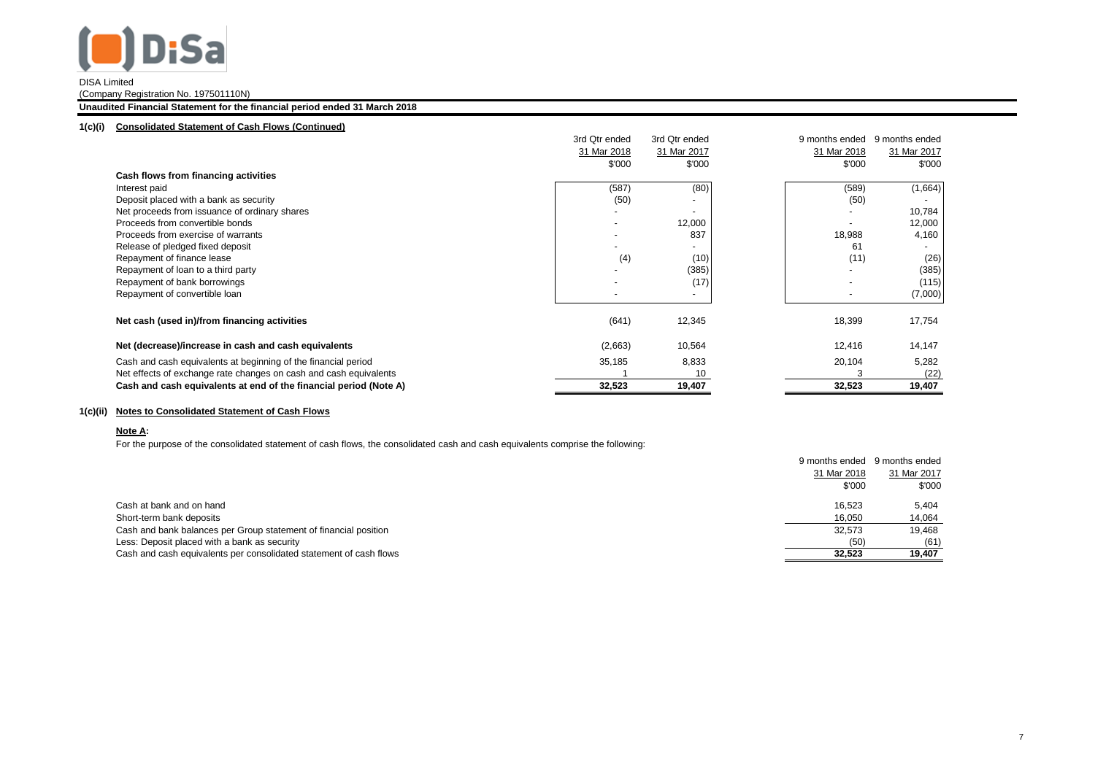

(Company Registration No. 197501110N)

## **Unaudited Financial Statement for the financial period ended 31 March 2018**

#### **1(c)(i) Consolidated Statement of Cash Flows (Continued)**

|                                                                   | 3rd Qtr ended | 3rd Qtr ended            | 9 months ended | 9 months ended |
|-------------------------------------------------------------------|---------------|--------------------------|----------------|----------------|
|                                                                   | 31 Mar 2018   | 31 Mar 2017              | 31 Mar 2018    | 31 Mar 2017    |
|                                                                   | \$'000        | \$'000                   | \$'000         | \$'000         |
| Cash flows from financing activities                              |               |                          |                |                |
| Interest paid                                                     | (587)         | (80)                     | (589)          | (1,664)        |
| Deposit placed with a bank as security                            | (50)          |                          | (50)           |                |
| Net proceeds from issuance of ordinary shares                     |               | $\overline{\phantom{a}}$ |                | 10,784         |
| Proceeds from convertible bonds                                   |               | 12,000                   |                | 12,000         |
| Proceeds from exercise of warrants                                |               | 837                      | 18,988         | 4,160          |
| Release of pledged fixed deposit                                  |               | $\overline{\phantom{a}}$ | 61             |                |
| Repayment of finance lease                                        | (4)           | (10)                     | (11)           | (26)           |
| Repayment of loan to a third party                                |               | (385)                    |                | (385)          |
| Repayment of bank borrowings                                      |               | (17)                     |                | (115)          |
| Repayment of convertible loan                                     |               | $\overline{\phantom{a}}$ |                | (7,000)        |
| Net cash (used in)/from financing activities                      | (641)         | 12,345                   | 18,399         | 17,754         |
| Net (decrease)/increase in cash and cash equivalents              | (2,663)       | 10,564                   | 12,416         | 14,147         |
| Cash and cash equivalents at beginning of the financial period    | 35,185        | 8,833                    | 20,104         | 5,282          |
| Net effects of exchange rate changes on cash and cash equivalents |               | 10                       |                | (22)           |
| Cash and cash equivalents at end of the financial period (Note A) | 32,523        | 19,407                   | 32,523         | 19,407         |

# **1(c)(ii) Notes to Consolidated Statement of Cash Flows**

### **Note A:**

For the purpose of the consolidated statement of cash flows, the consolidated cash and cash equivalents comprise the following:

|                                                                    | 9 months ended | 9 months ended |
|--------------------------------------------------------------------|----------------|----------------|
|                                                                    | 31 Mar 2018    | 31 Mar 2017    |
|                                                                    | \$'000         | \$'000         |
| Cash at bank and on hand                                           | 16.523         | 5.404          |
| Short-term bank deposits                                           | 16.050         | 14,064         |
| Cash and bank balances per Group statement of financial position   | 32.573         | 19.468         |
| Less: Deposit placed with a bank as security                       | (50)           | (61)           |
| Cash and cash equivalents per consolidated statement of cash flows | 32.523         | 19,407         |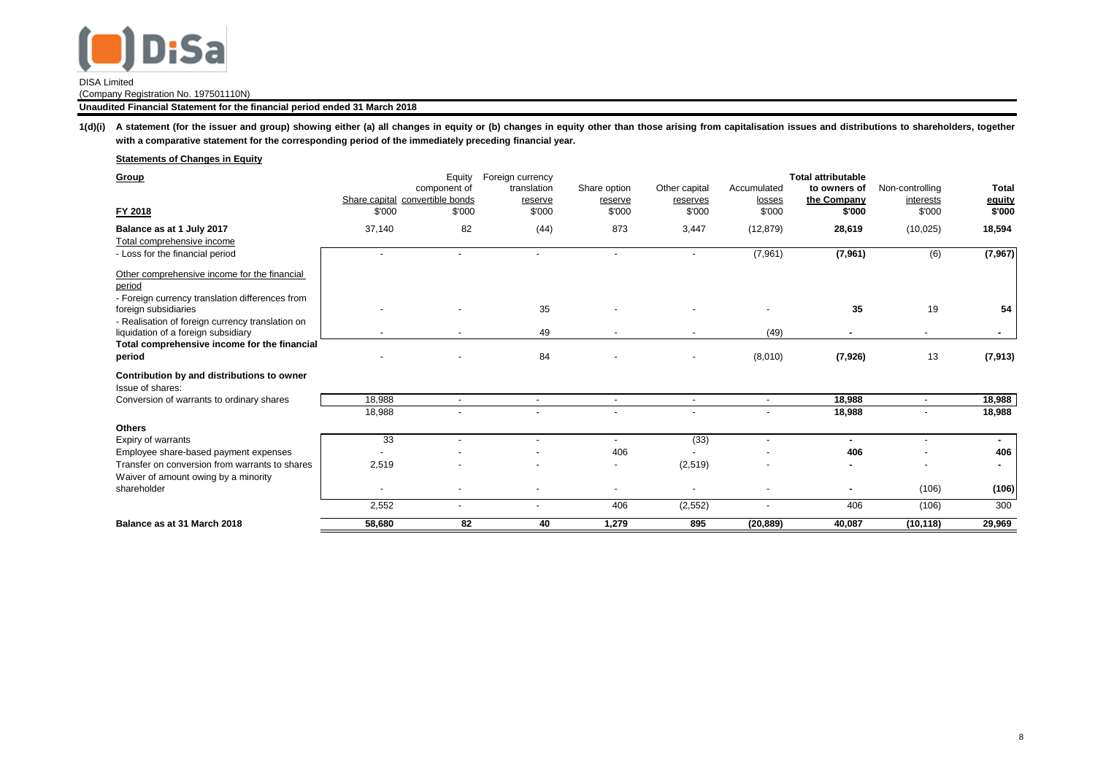

(Company Registration No. 197501110N)

## **Unaudited Financial Statement for the financial period ended 31 March 2018**

1(d)(i) A statement (for the issuer and group) showing either (a) all changes in equity or (b) changes in equity other than those arising from capitalisation issues and distributions to shareholders, together **with a comparative statement for the corresponding period of the immediately preceding financial year.**

# **Statements of Changes in Equity**

| Group                                                                   |                | Equity<br>component of                    | Foreign currency<br>translation | Share option             | Other capital            | Accumulated              | <b>Total attributable</b><br>to owners of | Non-controlling          | Total            |
|-------------------------------------------------------------------------|----------------|-------------------------------------------|---------------------------------|--------------------------|--------------------------|--------------------------|-------------------------------------------|--------------------------|------------------|
| FY 2018                                                                 | \$'000         | Share capital convertible bonds<br>\$'000 | reserve<br>\$'000               | reserve<br>\$'000        | reserves<br>\$'000       | losses<br>\$'000         | the Company<br>\$'000                     | interests<br>\$'000      | equity<br>\$'000 |
| Balance as at 1 July 2017                                               | 37,140         | 82                                        | (44)                            | 873                      | 3,447                    | (12, 879)                | 28,619                                    | (10, 025)                | 18,594           |
| Total comprehensive income                                              |                |                                           |                                 |                          |                          |                          |                                           |                          |                  |
| - Loss for the financial period                                         | $\overline{a}$ |                                           |                                 | $\overline{\phantom{a}}$ | $\overline{\phantom{a}}$ | (7,961)                  | (7,961)                                   | (6)                      | (7, 967)         |
| Other comprehensive income for the financial<br>period                  |                |                                           |                                 |                          |                          |                          |                                           |                          |                  |
| - Foreign currency translation differences from<br>foreign subsidiaries |                |                                           | 35                              |                          |                          |                          | 35                                        | 19                       | 54               |
| - Realisation of foreign currency translation on                        |                |                                           |                                 |                          |                          |                          |                                           |                          |                  |
| liquidation of a foreign subsidiary                                     |                |                                           | 49                              |                          |                          | (49)                     |                                           | ٠                        | ۰.               |
| Total comprehensive income for the financial                            |                |                                           |                                 |                          |                          |                          |                                           |                          |                  |
| period                                                                  |                |                                           | 84                              |                          |                          | (8,010)                  | (7,926)                                   | 13                       | (7, 913)         |
| Contribution by and distributions to owner<br>Issue of shares:          |                |                                           |                                 |                          |                          |                          |                                           |                          |                  |
| Conversion of warrants to ordinary shares                               | 18,988         |                                           | $\blacksquare$                  | $\blacksquare$           | $\overline{\phantom{a}}$ | $\blacksquare$           | 18,988                                    | $\overline{\phantom{a}}$ | 18,988           |
|                                                                         | 18,988         |                                           |                                 |                          |                          | $\overline{\phantom{a}}$ | 18,988                                    |                          | 18,988           |
| <b>Others</b>                                                           |                |                                           |                                 |                          |                          |                          |                                           |                          |                  |
| Expiry of warrants                                                      | 33             |                                           | $\overline{\phantom{0}}$        | $\overline{\phantom{a}}$ | (33)                     | $\overline{a}$           | $\sim$                                    | ٠                        | ۰.               |
| Employee share-based payment expenses                                   |                |                                           |                                 | 406                      |                          |                          | 406                                       |                          | 406              |
| Transfer on conversion from warrants to shares                          | 2,519          |                                           |                                 | $\overline{\phantom{a}}$ | (2,519)                  |                          |                                           | $\overline{\phantom{0}}$ |                  |
| Waiver of amount owing by a minority<br>shareholder                     |                |                                           |                                 |                          |                          |                          |                                           | (106)                    | (106)            |
|                                                                         | 2,552          |                                           |                                 | 406                      | (2, 552)                 | ٠                        | 406                                       | (106)                    | 300              |
| Balance as at 31 March 2018                                             | 58,680         | 82                                        | 40                              | 1,279                    | 895                      | (20, 889)                | 40,087                                    | (10, 118)                | 29,969           |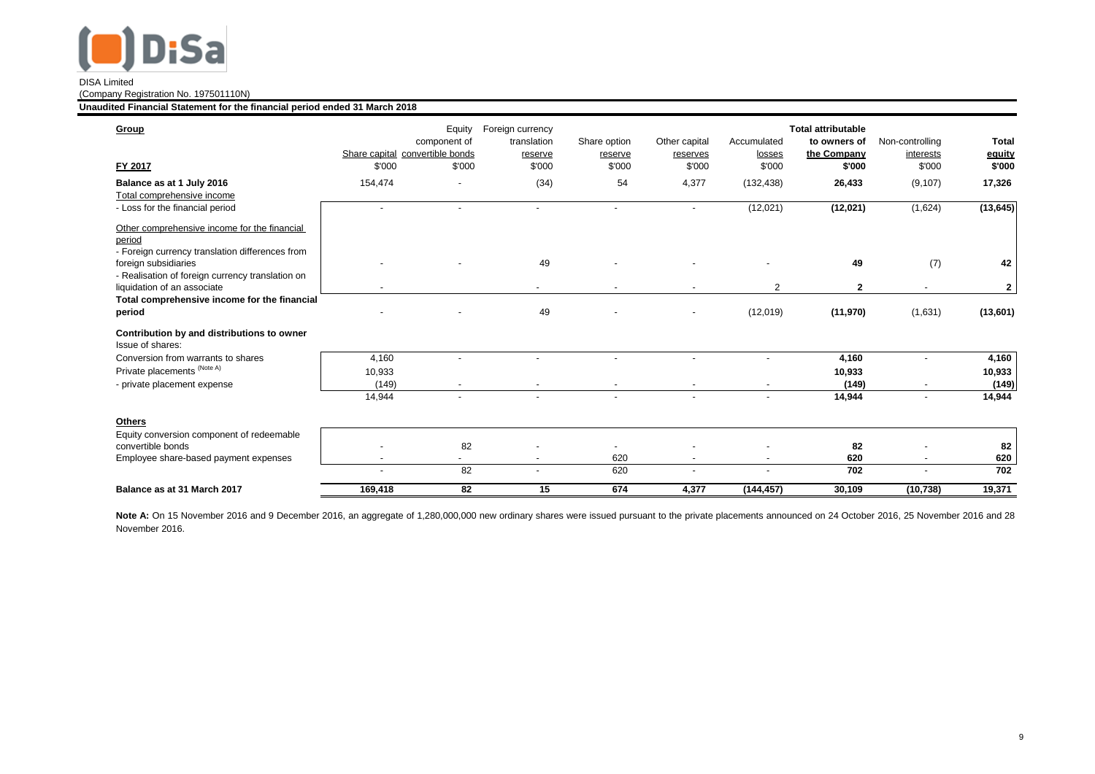

(Company Registration No. 197501110N)

**Unaudited Financial Statement for the financial period ended 31 March 2018**

| Group                                                                                                     |                                           | Equity<br>component of | Foreign currency<br>translation | Share option             | Other capital      | Accumulated      | <b>Total attributable</b><br>to owners of | Non-controlling          | <b>Total</b>     |
|-----------------------------------------------------------------------------------------------------------|-------------------------------------------|------------------------|---------------------------------|--------------------------|--------------------|------------------|-------------------------------------------|--------------------------|------------------|
| FY 2017                                                                                                   | Share capital convertible bonds<br>\$'000 | \$'000                 | reserve<br>\$'000               | reserve<br>\$'000        | reserves<br>\$'000 | losses<br>\$'000 | the Company<br>\$'000                     | interests<br>\$'000      | equity<br>\$'000 |
| Balance as at 1 July 2016<br>Total comprehensive income                                                   | 154,474                                   |                        | (34)                            | 54                       | 4,377              | (132, 438)       | 26,433                                    | (9, 107)                 | 17,326           |
| - Loss for the financial period                                                                           |                                           |                        | $\overline{\phantom{a}}$        | $\overline{\phantom{a}}$ |                    | (12,021)         | (12, 021)                                 | (1,624)                  | (13, 645)        |
| Other comprehensive income for the financial<br>period<br>- Foreign currency translation differences from |                                           |                        |                                 |                          |                    |                  |                                           |                          |                  |
| foreign subsidiaries                                                                                      |                                           |                        | 49                              |                          |                    |                  | 49                                        | (7)                      | 42               |
| - Realisation of foreign currency translation on<br>liquidation of an associate                           |                                           |                        | $\overline{\phantom{0}}$        |                          |                    | 2                | $\mathbf{2}$                              |                          | $\mathbf{2}$     |
| Total comprehensive income for the financial<br>period                                                    |                                           |                        | 49                              |                          |                    | (12,019)         | (11, 970)                                 | (1,631)                  | (13,601)         |
| Contribution by and distributions to owner<br>Issue of shares:                                            |                                           |                        |                                 |                          |                    |                  |                                           |                          |                  |
| Conversion from warrants to shares                                                                        | 4,160                                     | $\overline{a}$         | $\overline{a}$                  | ٠                        |                    |                  | 4,160                                     | ٠                        | 4,160            |
| Private placements (Note A)                                                                               | 10,933                                    |                        |                                 |                          |                    |                  | 10,933                                    |                          | 10,933           |
| - private placement expense                                                                               | (149)                                     |                        |                                 |                          |                    |                  | (149)                                     |                          | (149)            |
|                                                                                                           | 14,944                                    |                        | $\blacksquare$                  |                          |                    | $\blacksquare$   | 14,944                                    | $\overline{\phantom{a}}$ | 14,944           |
| <b>Others</b>                                                                                             |                                           |                        |                                 |                          |                    |                  |                                           |                          |                  |
| Equity conversion component of redeemable                                                                 |                                           |                        |                                 |                          |                    |                  |                                           |                          |                  |
| convertible bonds                                                                                         |                                           | 82                     |                                 |                          |                    |                  | 82                                        |                          | 82               |
| Employee share-based payment expenses                                                                     |                                           | $\sim$                 |                                 | 620                      |                    |                  | 620                                       |                          | 620              |
|                                                                                                           |                                           | 82                     | ٠                               | 620                      |                    | $\overline{a}$   | 702                                       | ٠                        | 702              |
| Balance as at 31 March 2017                                                                               | 169,418                                   | 82                     | 15                              | 674                      | 4,377              | (144, 457)       | 30.109                                    | (10, 738)                | 19,371           |

Note A: On 15 November 2016 and 9 December 2016, an aggregate of 1,280,000,000 new ordinary shares were issued pursuant to the private placements announced on 24 October 2016, 25 November 2016 and 28 November 2016.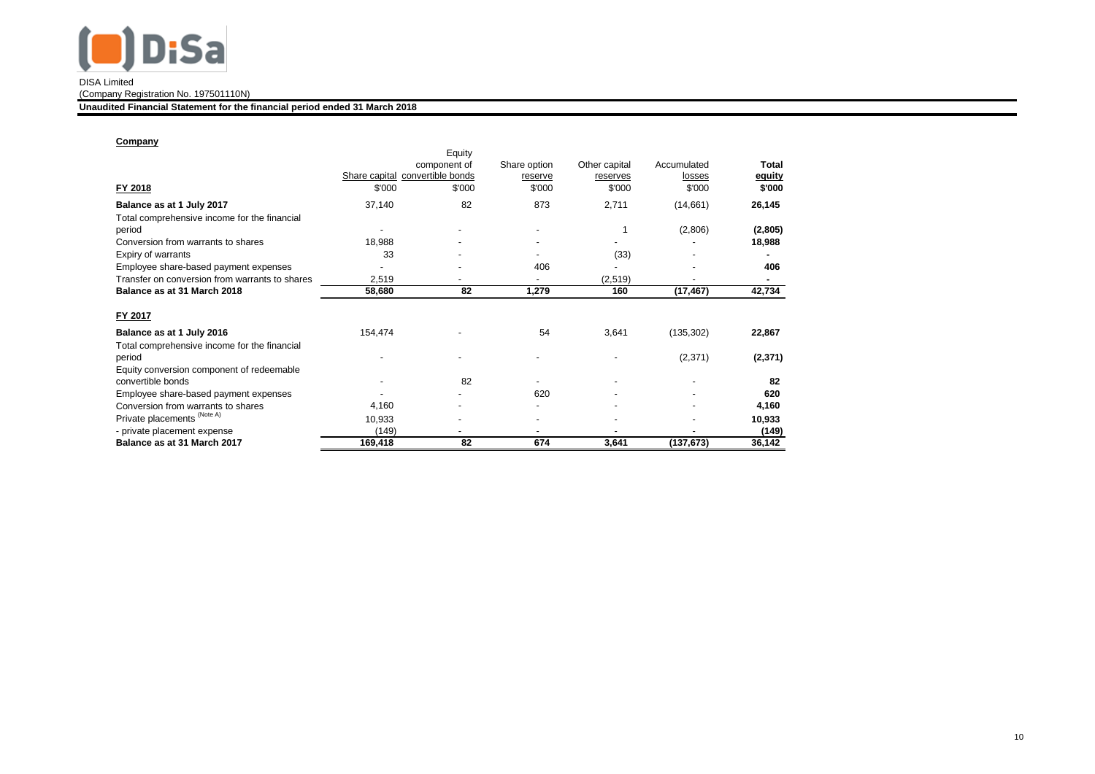

(Company Registration No. 197501110N)

**Unaudited Financial Statement for the financial period ended 31 March 2018**

# **Company**

| FY 2018                                                | \$'000  | Equity<br>component of<br>Share capital convertible bonds<br>\$'000 | Share option<br>reserve<br>\$'000 | Other capital<br>reserves<br>\$'000 | Accumulated<br>losses<br>\$'000 | Total<br>equity<br>\$'000 |
|--------------------------------------------------------|---------|---------------------------------------------------------------------|-----------------------------------|-------------------------------------|---------------------------------|---------------------------|
| Balance as at 1 July 2017                              | 37,140  | 82                                                                  | 873                               | 2,711                               | (14,661)                        | 26,145                    |
| Total comprehensive income for the financial<br>period |         |                                                                     |                                   |                                     | (2,806)                         | (2,805)                   |
| Conversion from warrants to shares                     | 18,988  |                                                                     |                                   |                                     |                                 | 18,988                    |
| Expiry of warrants                                     | 33      |                                                                     |                                   | (33)                                |                                 |                           |
| Employee share-based payment expenses                  |         |                                                                     | 406                               |                                     |                                 | 406                       |
| Transfer on conversion from warrants to shares         | 2,519   |                                                                     |                                   | (2, 519)                            |                                 | ۰                         |
| Balance as at 31 March 2018                            | 58,680  | 82                                                                  | 1,279                             | 160                                 | (17, 467)                       | 42,734                    |
| FY 2017                                                |         |                                                                     |                                   |                                     |                                 |                           |
| Balance as at 1 July 2016                              | 154,474 |                                                                     | 54                                | 3,641                               | (135, 302)                      | 22,867                    |
| Total comprehensive income for the financial           |         |                                                                     |                                   |                                     |                                 |                           |
| period                                                 |         |                                                                     |                                   |                                     | (2,371)                         | (2, 371)                  |
| Equity conversion component of redeemable              |         |                                                                     |                                   |                                     |                                 |                           |
| convertible bonds                                      |         | 82                                                                  |                                   |                                     |                                 | 82                        |
| Employee share-based payment expenses                  |         |                                                                     | 620                               |                                     |                                 | 620                       |
| Conversion from warrants to shares                     | 4,160   |                                                                     |                                   |                                     |                                 | 4,160                     |
| Private placements (Note A)                            | 10,933  |                                                                     |                                   |                                     |                                 | 10,933                    |
| - private placement expense                            | (149)   | ٠                                                                   |                                   |                                     |                                 | (149)                     |
| Balance as at 31 March 2017                            | 169,418 | 82                                                                  | 674                               | 3,641                               | (137,673)                       | 36,142                    |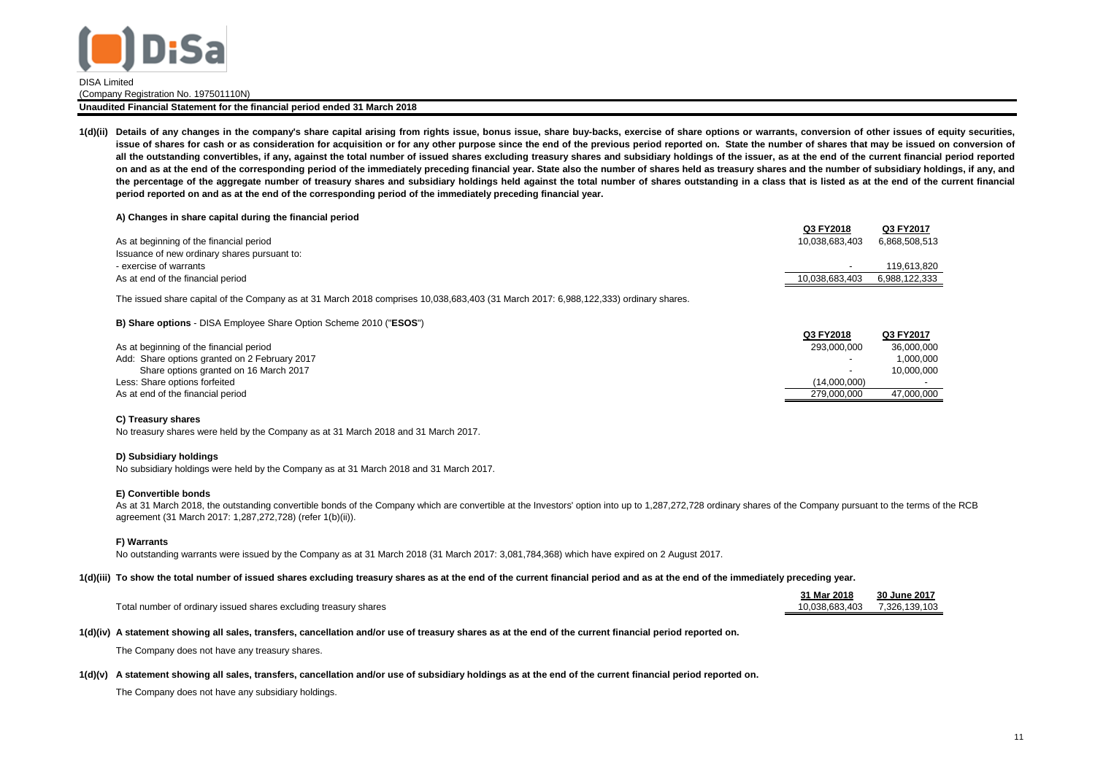

(Company Registration No. 197501110N)

#### **Unaudited Financial Statement for the financial period ended 31 March 2018**

1(d)(ii) Details of any changes in the company's share capital arising from rights issue, bonus issue, share buy-backs, exercise of share options or warrants, conversion of other issues of equity securities, issue of shares for cash or as consideration for acquisition or for any other purpose since the end of the previous period reported on. State the number of shares that may be issued on conversion of all the outstanding convertibles, if any, against the total number of issued shares excluding treasury shares and subsidiary holdings of the issuer, as at the end of the current financial period reported on and as at the end of the corresponding period of the immediately preceding financial year. State also the number of shares held as treasury shares and the number of subsidiary holdings, if any, and the percentage of the aggregate number of treasury shares and subsidiary holdings held against the total number of shares outstanding in a class that is listed as at the end of the current financial **period reported on and as at the end of the corresponding period of the immediately preceding financial year.**

#### **A) Changes in share capital during the financial period**

|                                              | Q3 FY2018      | Q3 FY2017     |
|----------------------------------------------|----------------|---------------|
| As at beginning of the financial period      | 10.038.683.403 | 6,868,508,513 |
| Issuance of new ordinary shares pursuant to: |                |               |
| - exercise of warrants                       |                | 119.613.820   |
| As at end of the financial period            | 10.038.683.403 | 6.988.122.333 |
|                                              |                |               |

The issued share capital of the Company as at 31 March 2018 comprises 10,038,683,403 (31 March 2017: 6,988,122,333) ordinary shares.

#### **B) Share options** - DISA Employee Share Option Scheme 2010 ("**ESOS**")

|                                               | Q3 FY2018    | Q3 FY2017  |
|-----------------------------------------------|--------------|------------|
| As at beginning of the financial period       | 293.000.000  | 36.000.000 |
| Add: Share options granted on 2 February 2017 |              | 1.000.000  |
| Share options granted on 16 March 2017        |              | 10.000.000 |
| Less: Share options forfeited                 | (14.000.000) |            |
| As at end of the financial period             | 279.000.000  | 47.000.000 |

#### **C) Treasury shares**

No treasury shares were held by the Company as at 31 March 2018 and 31 March 2017.

#### **D) Subsidiary holdings**

No subsidiary holdings were held by the Company as at 31 March 2018 and 31 March 2017.

#### **E) Convertible bonds**

As at 31 March 2018, the outstanding convertible bonds of the Company which are convertible at the Investors' option into up to 1,287,272,728 ordinary shares of the Company pursuant to the terms of the RCB agreement (31 March 2017: 1,287,272,728) (refer 1(b)(ii)).

#### **F) Warrants**

No outstanding warrants were issued by the Company as at 31 March 2018 (31 March 2017: 3,081,784,368) which have expired on 2 August 2017.

### **1(d)(iii) To show the total number of issued shares excluding treasury shares as at the end of the current financial period and as at the end of the immediately preceding year.**

|                                                                  | 31 Mar 2018    | 30 June 2017  |
|------------------------------------------------------------------|----------------|---------------|
| Total number of ordinary issued shares excluding treasury shares | 10.038.683.403 | 7.326.139.103 |

#### **1(d)(iv) A statement showing all sales, transfers, cancellation and/or use of treasury shares as at the end of the current financial period reported on.**

The Company does not have any treasury shares.

#### **1(d)(v) A statement showing all sales, transfers, cancellation and/or use of subsidiary holdings as at the end of the current financial period reported on.**

The Company does not have any subsidiary holdings.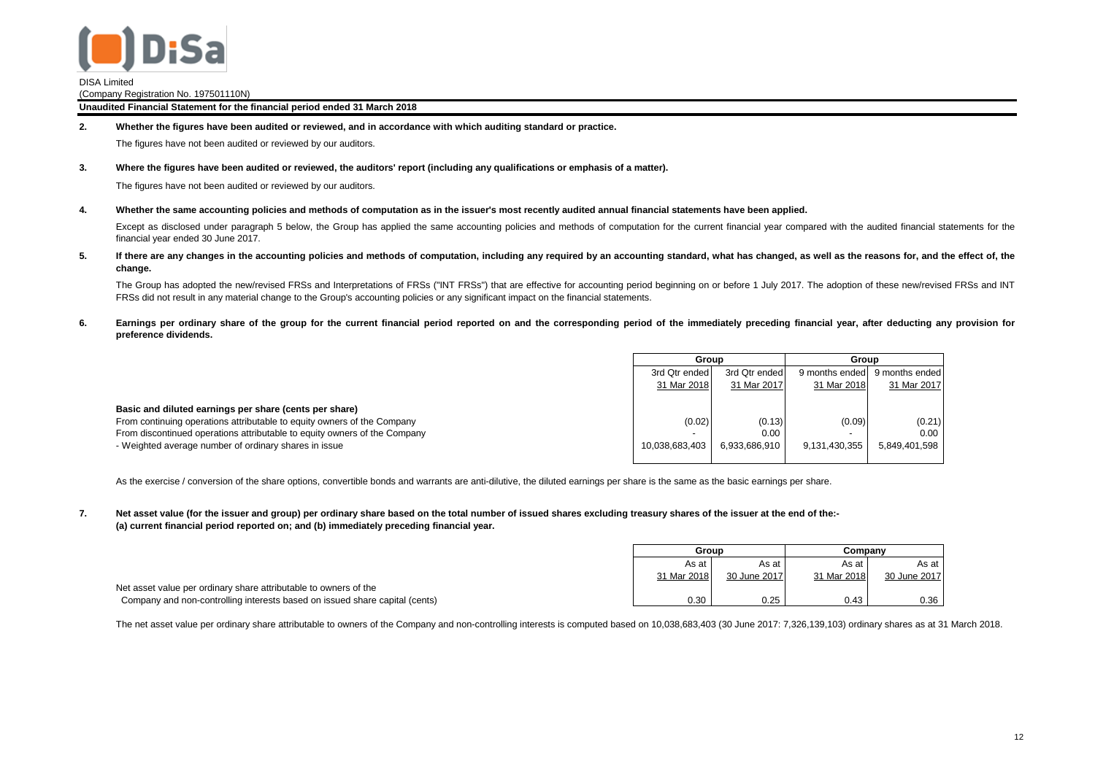

(Company Registration No. 197501110N)

**Unaudited Financial Statement for the financial period ended 31 March 2018**

**2. Whether the figures have been audited or reviewed, and in accordance with which auditing standard or practice.**

The figures have not been audited or reviewed by our auditors.

**3. Where the figures have been audited or reviewed, the auditors' report (including any qualifications or emphasis of a matter).**

The figures have not been audited or reviewed by our auditors.

**4. Whether the same accounting policies and methods of computation as in the issuer's most recently audited annual financial statements have been applied.**

Except as disclosed under paragraph 5 below, the Group has applied the same accounting policies and methods of computation for the current financial year compared with the audited financial statements for the financial year ended 30 June 2017.

**5.** If there are any changes in the accounting policies and methods of computation, including any required by an accounting standard, what has changed, as well as the reasons for, and the effect of, the **change.**

The Group has adopted the new/revised FRSs and Interpretations of FRSs ("INT FRSs") that are effective for accounting period beginning on or before 1 July 2017. The adoption of these new/revised FRSs and INT FRSs did not result in any material change to the Group's accounting policies or any significant impact on the financial statements.

**6.** Earnings per ordinary share of the group for the current financial period reported on and the corresponding period of the immediately preceding financial year, after deducting any provision for **preference dividends.**

|                                                                           | Group                    |               | Group          |                |
|---------------------------------------------------------------------------|--------------------------|---------------|----------------|----------------|
|                                                                           | 3rd Qtr ended            | 3rd Qtr ended | 9 months ended | 9 months ended |
|                                                                           | 31 Mar 2018              | 31 Mar 2017   | 31 Mar 2018    | 31 Mar 2017    |
|                                                                           |                          |               |                |                |
| Basic and diluted earnings per share (cents per share)                    |                          |               |                |                |
| From continuing operations attributable to equity owners of the Company   | (0.02)                   | (0.13)        | (0.09)         | (0.21)         |
| From discontinued operations attributable to equity owners of the Company | $\overline{\phantom{a}}$ | 0.00          | -              | 0.00           |
| - Weighted average number of ordinary shares in issue                     | 10.038.683.403           | 6.933.686.910 | 9.131.430.355  | 5.849.401.598  |
|                                                                           |                          |               |                |                |

As the exercise / conversion of the share options, convertible bonds and warrants are anti-dilutive, the diluted earnings per share is the same as the basic earnings per share.

**7. (a) current financial period reported on; and (b) immediately preceding financial year. Net asset value (for the issuer and group) per ordinary share based on the total number of issued shares excluding treasury shares of the issuer at the end of the:-**

|                                                                             | Group       |              | Companv     |              |
|-----------------------------------------------------------------------------|-------------|--------------|-------------|--------------|
|                                                                             | As at       | As at        | As at       | As at        |
|                                                                             | 31 Mar 2018 | 30 June 2017 | 31 Mar 2018 | 30 June 2017 |
| Net asset value per ordinary share attributable to owners of the            |             |              |             |              |
| Company and non-controlling interests based on issued share capital (cents) | 0.30        | 0.25         | 0.43        | 0.36         |

The net asset value per ordinary share attributable to owners of the Company and non-controlling interests is computed based on 10,038,683,403 (30 June 2017: 7,326,139,103) ordinary shares as at 31 March 2018.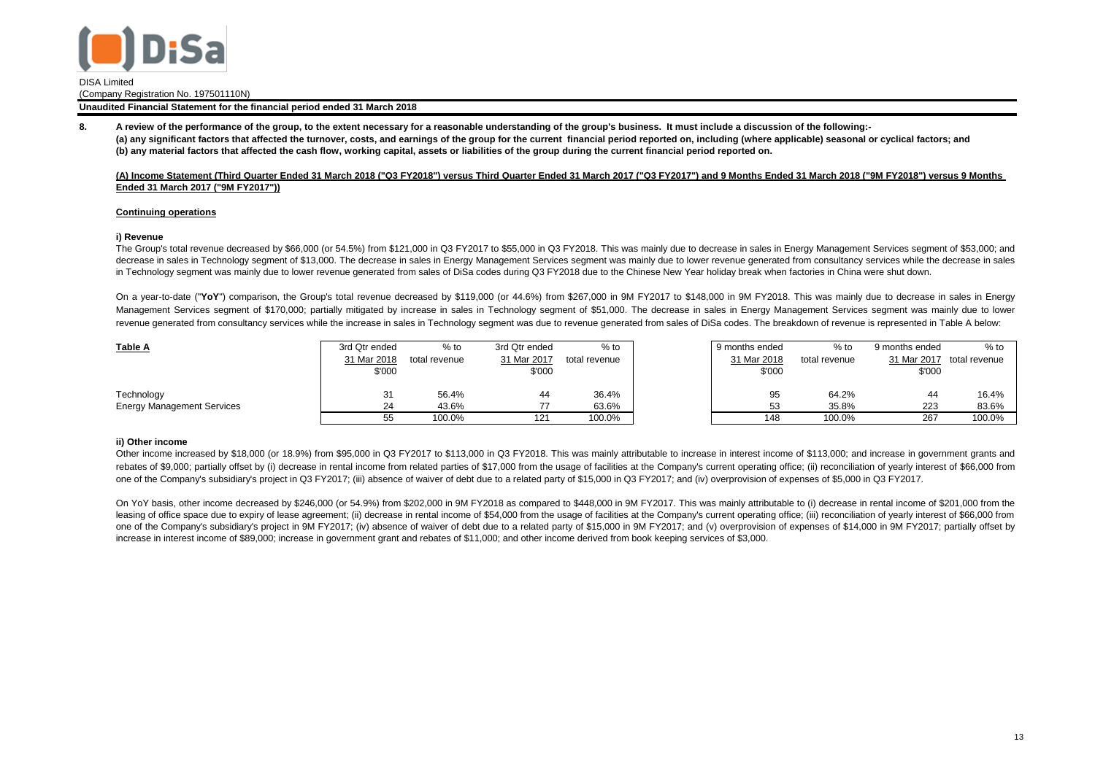

(Company Registration No. 197501110N)

**Unaudited Financial Statement for the financial period ended 31 March 2018**

**8. (b) any material factors that affected the cash flow, working capital, assets or liabilities of the group during the current financial period reported on. (a) any significant factors that affected the turnover, costs, and earnings of the group for the current financial period reported on, including (where applicable) seasonal or cyclical factors; and A review of the performance of the group, to the extent necessary for a reasonable understanding of the group's business. It must include a discussion of the following:-**

## **(A) Income Statement (Third Quarter Ended 31 March 2018 ("Q3 FY2018") versus Third Quarter Ended 31 March 2017 ("Q3 FY2017") and 9 Months Ended 31 March 2018 ("9M FY2018") versus 9 Months Ended 31 March 2017 ("9M FY2017"))**

## **Continuing operations**

## **i) Revenue**

The Group's total revenue decreased by \$66,000 (or 54.5%) from \$121,000 in Q3 FY2017 to \$55,000 in Q3 FY2018. This was mainly due to decrease in sales in Energy Management Services segment of \$53,000; and decrease in sales in Technology segment of \$13,000. The decrease in sales in Energy Management Services segment was mainly due to lower revenue generated from consultancy services while the decrease in sales in Technology segment was mainly due to lower revenue generated from sales of DiSa codes during Q3 FY2018 due to the Chinese New Year holiday break when factories in China were shut down.

On a year-to-date ("**YoY**") comparison, the Group's total revenue decreased by \$119,000 (or 44.6%) from \$267,000 in 9M FY2017 to \$148,000 in 9M FY2018. This was mainly due to decrease in sales in Energy Management Services segment of \$170,000; partially mitigated by increase in sales in Technology segment of \$51,000. The decrease in sales in Energy Management Services segment was mainly due to lower revenue generated from consultancy services while the increase in sales in Technology segment was due to revenue generated from sales of DiSa codes. The breakdown of revenue is represented in Table A below:

| <b>Table A</b>                    | 3rd Qtr ended | $%$ to        | 3rd Qtr ended | $%$ to        | 9 months ended | $%$ to        | 9 months ended | $%$ to        |
|-----------------------------------|---------------|---------------|---------------|---------------|----------------|---------------|----------------|---------------|
|                                   | 31 Mar 2018   | total revenue | 31 Mar 2017   | total revenue | 31 Mar 2018    | total revenue | 31 Mar 2017    | total revenue |
|                                   | \$'000        |               | \$'000        |               | \$'000         |               | \$'000         |               |
|                                   |               |               |               |               |                |               |                |               |
| Technology                        | 31            | 56.4%         |               | 36.4%         | 95             | 64.2%         | 44             | 16.4%         |
| <b>Energy Management Services</b> | 24            | 43.6%         |               | 63.6%         | 53             | 35.8%         | 223            | 83.6%         |
|                                   | 55            | 100.0%        | 121           | 100.0%        | 148            | 100.0%        | 267            | 100.0%        |

## **ii) Other income**

Other income increased by \$18,000 (or 18.9%) from \$95,000 in Q3 FY2017 to \$113,000 in Q3 FY2018. This was mainly attributable to increase in interest income of \$113,000; and increase in government grants and rebates of \$9,000; partially offset by (i) decrease in rental income from related parties of \$17,000 from the usage of facilities at the Company's current operating office; (ii) reconciliation of yearly interest of \$66,000 one of the Company's subsidiary's project in Q3 FY2017; (iii) absence of waiver of debt due to a related party of \$15,000 in Q3 FY2017; and (iv) overprovision of expenses of \$5,000 in Q3 FY2017.

On YoY basis, other income decreased by \$246,000 (or 54.9%) from \$202,000 in 9M FY2018 as compared to \$448,000 in 9M FY2017. This was mainly attributable to (i) decrease in rental income of \$201,000 from the leasing of office space due to expiry of lease agreement; (ii) decrease in rental income of \$54,000 from the usage of facilities at the Company's current operating office; (iii) reconciliation of yearly interest of \$66,000 one of the Company's subsidiary's project in 9M FY2017; (iv) absence of waiver of debt due to a related party of \$15,000 in 9M FY2017; and (v) overprovision of expenses of \$14,000 in 9M FY2017; partially offset by increase in interest income of \$89,000; increase in government grant and rebates of \$11,000; and other income derived from book keeping services of \$3,000.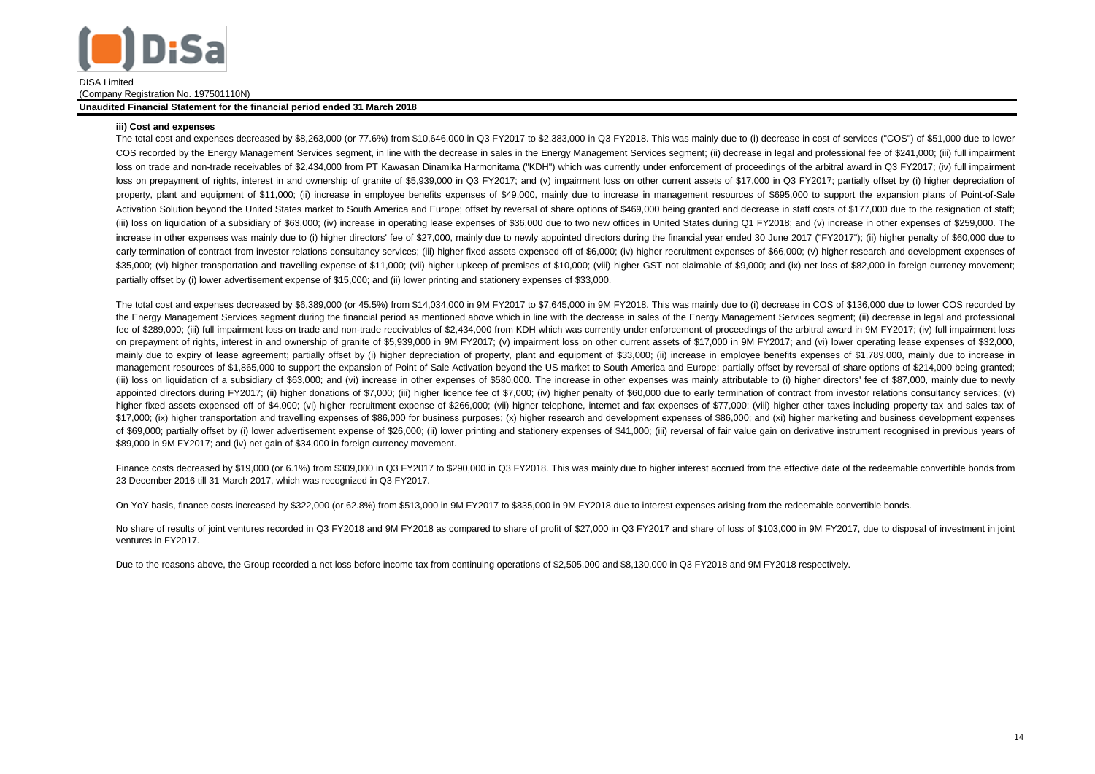

(Company Registration No. 197501110N)

#### **Unaudited Financial Statement for the financial period ended 31 March 2018**

#### **iii) Cost and expenses**

The total cost and expenses decreased by \$8,263,000 (or 77.6%) from \$10,646,000 in Q3 FY2017 to \$2,383,000 in Q3 FY2018. This was mainly due to (i) decrease in cost of services ("COS") of \$51,000 due to lower COS recorded by the Energy Management Services segment, in line with the decrease in sales in the Energy Management Services segment; (ii) decrease in legal and professional fee of \$241,000; (iii) full impairment loss on trade and non-trade receivables of \$2,434,000 from PT Kawasan Dinamika Harmonitama ("KDH") which was currently under enforcement of proceedings of the arbitral award in Q3 FY2017; (iv) full impairment loss on prepayment of rights, interest in and ownership of granite of \$5,939,000 in Q3 FY2017; and (v) impairment loss on other current assets of \$17,000 in Q3 FY2017; partially offset by (i) higher depreciation of property, plant and equipment of \$11,000; (ii) increase in employee benefits expenses of \$49,000, mainly due to increase in management resources of \$695,000 to support the expansion plans of Point-of-Sale Activation Solution beyond the United States market to South America and Europe; offset by reversal of share options of \$469,000 being granted and decrease in staff costs of \$177,000 due to the resignation of staff; (iii) loss on liquidation of a subsidiary of \$63,000; (iv) increase in operating lease expenses of \$36,000 due to two new offices in United States during Q1 FY2018; and (v) increase in other expenses of \$259,000. The increase in other expenses was mainly due to (i) higher directors' fee of \$27,000, mainly due to newly appointed directors during the financial year ended 30 June 2017 ("FY2017"); (ii) higher penalty of \$60,000 due to early termination of contract from investor relations consultancy services; (iii) higher fixed assets expensed off of \$6,000; (iv) higher recruitment expenses of \$66,000; (v) higher research and development expenses of \$35,000; (vi) higher transportation and travelling expense of \$11,000; (vii) higher upkeep of premises of \$10,000; (viii) higher GST not claimable of \$9,000; and (ix) net loss of \$82,000 in foreign currency movement; partially offset by (i) lower advertisement expense of \$15,000; and (ii) lower printing and stationery expenses of \$33,000.

The total cost and expenses decreased by \$6,389,000 (or 45.5%) from \$14,034,000 in 9M FY2017 to \$7,645,000 in 9M FY2018. This was mainly due to (i) decrease in COS of \$136,000 due to lower COS recorded by the Energy Management Services segment during the financial period as mentioned above which in line with the decrease in sales of the Energy Management Services segment; (ii) decrease in legal and professional fee of \$289,000; (iii) full impairment loss on trade and non-trade receivables of \$2,434,000 from KDH which was currently under enforcement of proceedings of the arbitral award in 9M FY2017; (iv) full impairment loss on prepayment of rights, interest in and ownership of granite of \$5,939,000 in 9M FY2017; (v) impairment loss on other current assets of \$17,000 in 9M FY2017; and (vi) lower operating lease expenses of \$32,000, mainly due to expiry of lease agreement; partially offset by (i) higher depreciation of property, plant and equipment of \$33,000; (ii) increase in employee benefits expenses of \$1,789,000, mainly due to increase in management resources of \$1,865,000 to support the expansion of Point of Sale Activation beyond the US market to South America and Europe; partially offset by reversal of share options of \$214,000 being granted; (iii) loss on liquidation of a subsidiary of \$63,000; and (vi) increase in other expenses of \$580,000. The increase in other expenses was mainly attributable to (i) higher directors' fee of \$87,000, mainly due to newly appointed directors during FY2017; (ii) higher donations of \$7,000; (iii) higher licence fee of \$7,000; (iv) higher penalty of \$60,000 due to early termination of contract from investor relations consultancy services; (v) higher fixed assets expensed off of \$4,000; (vi) higher recruitment expense of \$266,000; (vii) higher telephone, internet and fax expenses of \$77,000; (viii) higher other taxes including property tax and sales tax of \$17,000; (ix) higher transportation and travelling expenses of \$86,000 for business purposes; (x) higher research and development expenses of \$86,000; and (xi) higher marketing and business development expenses of \$69,000; partially offset by (i) lower advertisement expense of \$26,000; (ii) lower printing and stationery expenses of \$41,000; (iii) reversal of fair value gain on derivative instrument recognised in previous years of \$89,000 in 9M FY2017; and (iv) net gain of \$34,000 in foreign currency movement.

Finance costs decreased by \$19,000 (or 6.1%) from \$309,000 in Q3 FY2017 to \$290,000 in Q3 FY2018. This was mainly due to higher interest accrued from the effective date of the redeemable convertible bonds from 23 December 2016 till 31 March 2017, which was recognized in Q3 FY2017.

On YoY basis, finance costs increased by \$322,000 (or 62.8%) from \$513,000 in 9M FY2017 to \$835,000 in 9M FY2018 due to interest expenses arising from the redeemable convertible bonds.

No share of results of joint ventures recorded in Q3 FY2018 and 9M FY2018 as compared to share of profit of \$27,000 in Q3 FY2017 and share of loss of \$103,000 in 9M FY2017, due to disposal of investment in joint ventures in FY2017.

Due to the reasons above, the Group recorded a net loss before income tax from continuing operations of \$2,505,000 and \$8,130,000 in Q3 FY2018 and 9M FY2018 respectively.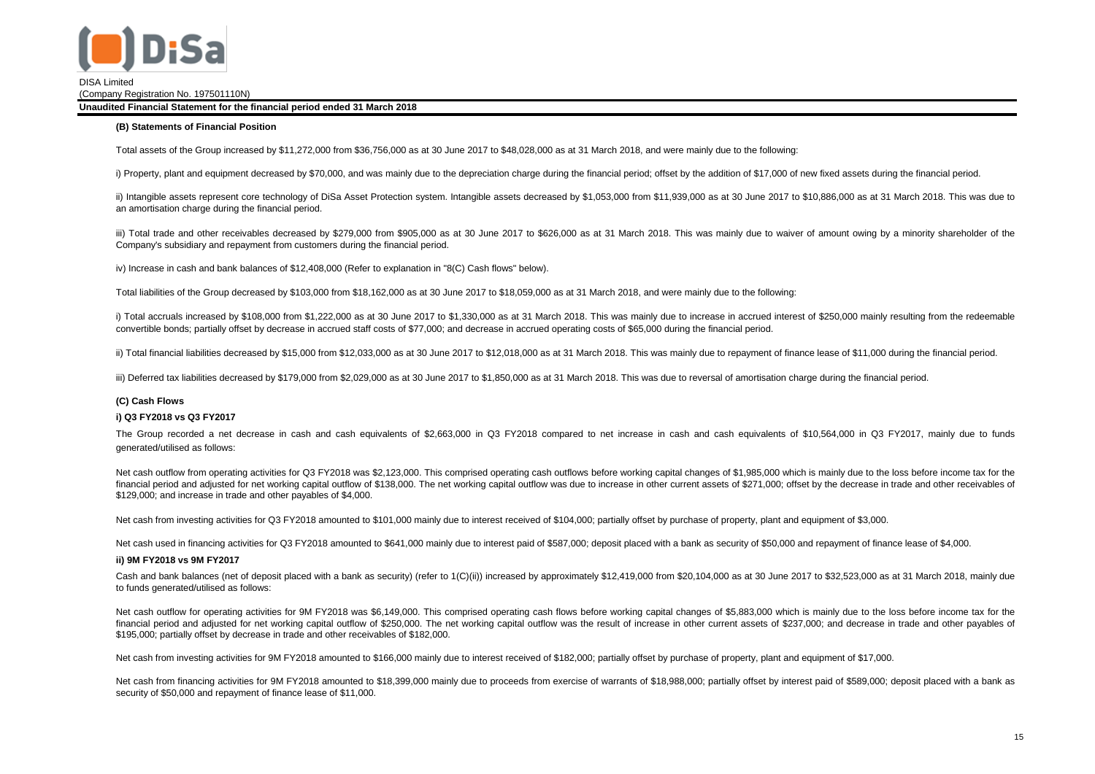

(Company Registration No. 197501110N)

**Unaudited Financial Statement for the financial period ended 31 March 2018**

#### **(B) Statements of Financial Position**

Total assets of the Group increased by \$11,272,000 from \$36,756,000 as at 30 June 2017 to \$48,028,000 as at 31 March 2018, and were mainly due to the following:

i) Property, plant and equipment decreased by \$70,000, and was mainly due to the depreciation charge during the financial period; offset by the addition of \$17,000 of new fixed assets during the financial period.

ii) Intangible assets represent core technology of DiSa Asset Protection system. Intangible assets decreased by \$1,053,000 from \$11,939,000 as at 30 June 2017 to \$10,886,000 as at 31 March 2018. This was due to an amortisation charge during the financial period.

iii) Total trade and other receivables decreased by \$279,000 from \$905,000 as at 30 June 2017 to \$626,000 as at 31 March 2018. This was mainly due to waiver of amount owing by a minority shareholder of the Company's subsidiary and repayment from customers during the financial period.

iv) Increase in cash and bank balances of \$12,408,000 (Refer to explanation in "8(C) Cash flows" below).

Total liabilities of the Group decreased by \$103,000 from \$18,162,000 as at 30 June 2017 to \$18,059,000 as at 31 March 2018, and were mainly due to the following:

i) Total accruals increased by \$108,000 from \$1,222,000 as at 30 June 2017 to \$1,330,000 as at 31 March 2018. This was mainly due to increase in accrued interest of \$250,000 mainly resulting from the redeemable convertible bonds; partially offset by decrease in accrued staff costs of \$77,000; and decrease in accrued operating costs of \$65,000 during the financial period.

ii) Total financial liabilities decreased by \$15,000 from \$12,033,000 as at 30 June 2017 to \$12,018,000 as at 31 March 2018. This was mainly due to repayment of finance lease of \$11,000 during the financial period.

iii) Deferred tax liabilities decreased by \$179,000 from \$2,029,000 as at 30 June 2017 to \$1,850,000 as at 31 March 2018. This was due to reversal of amortisation charge during the financial period.

## **(C) Cash Flows**

## **i) Q3 FY2018 vs Q3 FY2017**

The Group recorded a net decrease in cash and cash equivalents of \$2,663,000 in Q3 FY2018 compared to net increase in cash and cash equivalents of \$10,564,000 in Q3 FY2017, mainly due to funds generated/utilised as follows:

Net cash outflow from operating activities for Q3 FY2018 was \$2,123,000. This comprised operating cash outflows before working capital changes of \$1,985,000 which is mainly due to the loss before income tax for the financial period and adjusted for net working capital outflow of \$138,000. The net working capital outflow was due to increase in other current assets of \$271,000; offset by the decrease in trade and other receivables of \$129,000; and increase in trade and other payables of \$4,000.

Net cash from investing activities for Q3 FY2018 amounted to \$101,000 mainly due to interest received of \$104,000; partially offset by purchase of property, plant and equipment of \$3,000.

Net cash used in financing activities for Q3 FY2018 amounted to \$641,000 mainly due to interest paid of \$587,000; deposit placed with a bank as security of \$50,000 and repayment of finance lease of \$4,000.

## **ii) 9M FY2018 vs 9M FY2017**

Cash and bank balances (net of deposit placed with a bank as security) (refer to 1(C)(ii)) increased by approximately \$12,419,000 from \$20,104,000 as at 30 June 2017 to \$32,523,000 as at 31 March 2018, mainly due to funds generated/utilised as follows:

Net cash outflow for operating activities for 9M FY2018 was \$6,149,000. This comprised operating cash flows before working capital changes of \$5,883,000 which is mainly due to the loss before income tax for the financial period and adjusted for net working capital outflow of \$250,000. The net working capital outflow was the result of increase in other current assets of \$237,000; and decrease in trade and other payables of \$195,000; partially offset by decrease in trade and other receivables of \$182,000.

Net cash from investing activities for 9M FY2018 amounted to \$166,000 mainly due to interest received of \$182,000; partially offset by purchase of property, plant and equipment of \$17,000.

Net cash from financing activities for 9M FY2018 amounted to \$18,399,000 mainly due to proceeds from exercise of warrants of \$18,988,000; partially offset by interest paid of \$589,000; deposit placed with a bank as security of \$50,000 and repayment of finance lease of \$11,000.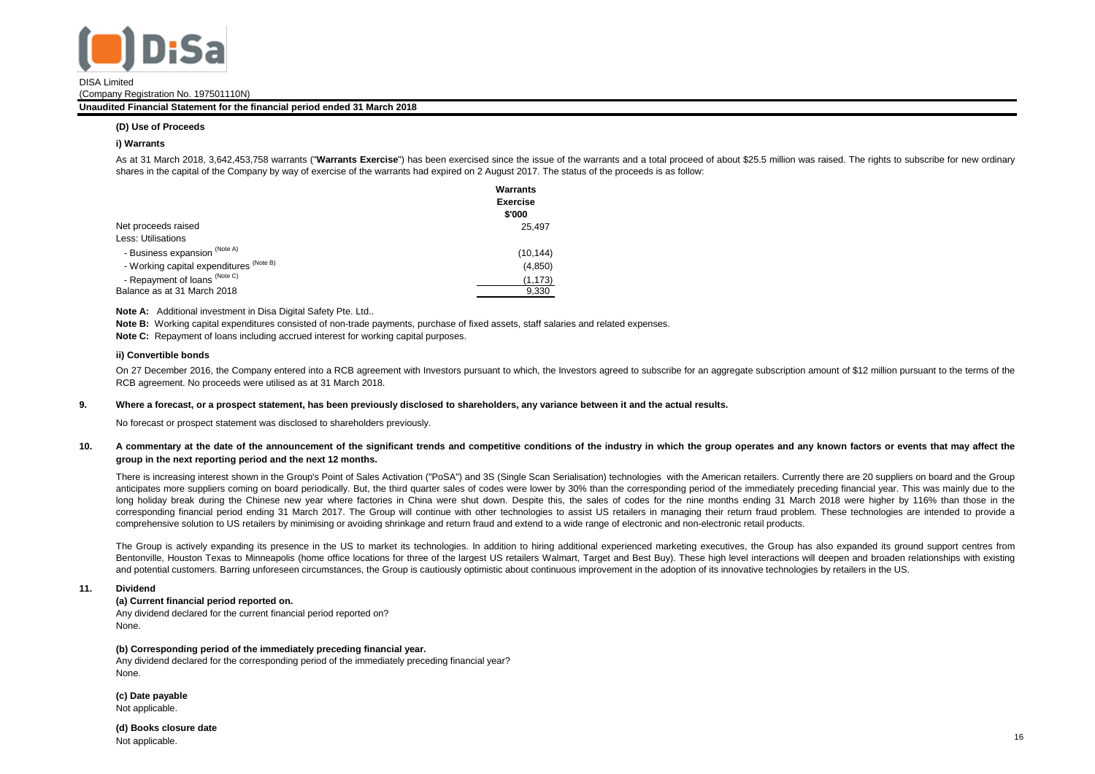

(Company Registration No. 197501110N)

#### **Unaudited Financial Statement for the financial period ended 31 March 2018**

## **(D) Use of Proceeds**

### **i) Warrants**

As at 31 March 2018, 3.642.453.758 warrants ("Warrants Exercise") has been exercised since the issue of the warrants and a total proceed of about \$25.5 million was raised. The rights to subscribe for new ordinary shares in the capital of the Company by way of exercise of the warrants had expired on 2 August 2017. The status of the proceeds is as follow:

|                                         | <b>Warrants</b><br><b>Exercise</b><br>\$'000 |
|-----------------------------------------|----------------------------------------------|
| Net proceeds raised                     | 25.497                                       |
| <b>Less: Utilisations</b>               |                                              |
| - Business expansion (Note A)           | (10.144)                                     |
| - Working capital expenditures (Note B) | (4, 850)                                     |
| - Repayment of loans (Note C)           | (1, 173)                                     |
| Balance as at 31 March 2018             | 9.330                                        |

**Note A:** Additional investment in Disa Digital Safety Pte. Ltd..

**Note B:** Working capital expenditures consisted of non-trade payments, purchase of fixed assets, staff salaries and related expenses.

**Note C:** Repayment of loans including accrued interest for working capital purposes.

### **ii) Convertible bonds**

On 27 December 2016, the Company entered into a RCB agreement with Investors pursuant to which, the Investors agreed to subscribe for an aggregate subscription amount of \$12 million pursuant to the terms of the RCB agreement. No proceeds were utilised as at 31 March 2018.

#### **9. Where a forecast, or a prospect statement, has been previously disclosed to shareholders, any variance between it and the actual results.**

No forecast or prospect statement was disclosed to shareholders previously.

#### **10.** A commentary at the date of the announcement of the significant trends and competitive conditions of the industry in which the group operates and any known factors or events that may affect the **group in the next reporting period and the next 12 months.**

There is increasing interest shown in the Group's Point of Sales Activation ("PoSA") and 3S (Single Scan Serialisation) technologies with the American retailers. Currently there are 20 suppliers on board and the Group anticipates more suppliers coming on board periodically. But, the third quarter sales of codes were lower by 30% than the corresponding period of the immediately preceding financial year. This was mainly due to the long holiday break during the Chinese new year where factories in China were shut down. Despite this, the sales of codes for the nine months ending 31 March 2018 were higher by 116% than those in the corresponding financial period ending 31 March 2017. The Group will continue with other technologies to assist US retailers in managing their return fraud problem. These technologies are intended to provide a comprehensive solution to US retailers by minimising or avoiding shrinkage and return fraud and extend to a wide range of electronic and non-electronic retail products.

The Group is actively expanding its presence in the US to market its technologies. In addition to hiring additional experienced marketing executives, the Group has also expanded its ground support centres from Bentonville, Houston Texas to Minneapolis (home office locations for three of the largest US retailers Walmart, Target and Best Buy). These high level interactions will deepen and broaden relationships with existing and potential customers. Barring unforeseen circumstances, the Group is cautiously optimistic about continuous improvement in the adoption of its innovative technologies by retailers in the US.

## **11. Dividend**

## **(a) Current financial period reported on.**

Any dividend declared for the current financial period reported on? None.

#### **(b) Corresponding period of the immediately preceding financial year.**

Any dividend declared for the corresponding period of the immediately preceding financial year? None.

**(c) Date payable** Not applicable.

**(d) Books closure date** Not applicable.